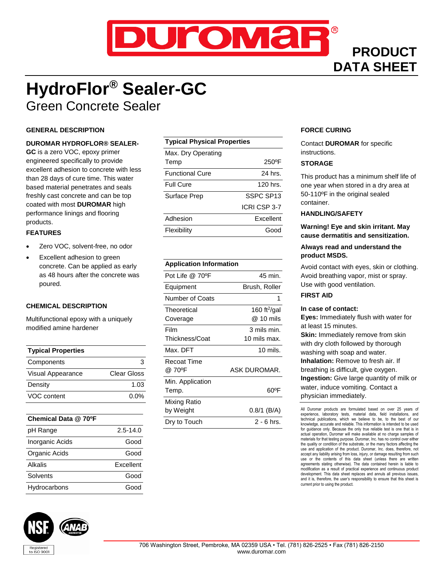

## **PRODUCT DATA SHEET**

## **HydroFlor® Sealer-GC** Green Concrete Sealer

#### **GENERAL DESCRIPTION**

#### **DUROMAR HYDROFLOR® SEALER-**

**GC** is a zero VOC, epoxy primer engineered specifically to provide excellent adhesion to concrete with less than 28 days of cure time. This water based material penetrates and seals freshly cast concrete and can be top coated with most **DUROMAR** high performance linings and flooring products.

#### **FEATURES**

- Zero VOC, solvent-free, no odor
- Excellent adhesion to green concrete. Can be applied as early as 48 hours after the concrete was poured.

#### **CHEMICAL DESCRIPTION**

Multifunctional epoxy with a uniquely modified amine hardener

| <b>Typical Properties</b> |             |
|---------------------------|-------------|
| Components                | З           |
| Visual Appearance         | Clear Gloss |
| Density                   | 1.03        |
| VOC content               | $0.0\%$     |

#### **Chemical Data @ 70ºF**

| pH Range        | $2.5 - 14.0$ |
|-----------------|--------------|
| Inorganic Acids | Good         |
| Organic Acids   | Good         |
| Alkalis         | Excellent    |
| Solvents        | Good         |
| Hydrocarbons    | Good         |

# 

#### **Typical Physical Properties**

| Max. Dry Operating     |                 |
|------------------------|-----------------|
| Temp                   | $250^{\circ}$ F |
| <b>Functional Cure</b> | 24 hrs.         |
| <b>Full Cure</b>       | 120 hrs.        |
| Surface Prep           | SSPC SP13       |
|                        | ICRI CSP 3-7    |
| Adhesion               | Excellent       |
| Flexibility            | Good            |
|                        |                 |

#### **Application Information**

| Pot Life @ 70°F  | 45 min.                 |
|------------------|-------------------------|
| Equipment        | Brush, Roller           |
| Number of Coats  | 1                       |
| Theoretical      | 160 ft $\frac{2}{9}$ al |
| Coverage         | @ 10 mils               |
| Film             | 3 mils min.             |
| Thickness/Coat   | 10 mils max.            |
| Max. DFT         | $10 \text{ miles.}$     |
| Recoat Time      |                         |
| @ 70°F           | ASK DUROMAR.            |
| Min. Application |                         |
| Temp.            | 60°F                    |
| Mixing Ratio     |                         |
| by Weight        | 0.8/1 (B/A)             |
| Dry to Touch     | 2 - 6 hrs.              |
|                  |                         |

#### **FORCE CURING**

Contact **DUROMAR** for specific instructions.

#### **STORAGE**

This product has a minimum shelf life of one year when stored in a dry area at 50-110ºF in the original sealed container.

#### **HANDLING/SAFETY**

**Warning! Eye and skin irritant. May cause dermatitis and sensitization.**

#### **Always read and understand the product MSDS.**

Avoid contact with eyes, skin or clothing. Avoid breathing vapor, mist or spray. Use with good ventilation.

#### **FIRST AID**

#### **In case of contact:**

**Eyes:** Immediately flush with water for at least 15 minutes. **Skin:** Immediately remove from skin with dry cloth followed by thorough washing with soap and water. **Inhalation:** Remove to fresh air. If breathing is difficult, give oxygen. **Ingestion:** Give large quantity of milk or water, induce vomiting. Contact a physician immediately.

All Duromar products are formulated based on over 25 years of experience, laboratory tests, material data, field installations, and technical publications, which we believe to be, to the best of our knowledge, accurate and reliable. This information is intended to be used for guidance only. Because the only true reliable test is one that is in actual operation, Duromar will make available at no charge samples of materials for that testing purpose. Duromar, Inc. has no control over either the quality or condition of the substrate, or the many factors affecting the use and application of the product. Duromar, Inc. does, therefore, not accept any liability arising from loss, injury, or damage resulting from such use or the contents of this data sheet (unless there are written agreements stating otherwise). The data contained herein is liable to modification as a result of practical experience and continuous product development. This data sheet replaces and annuls all previous issues, and it is, therefore, the user's responsibility to ensure that this sheet is current prior to using the product.